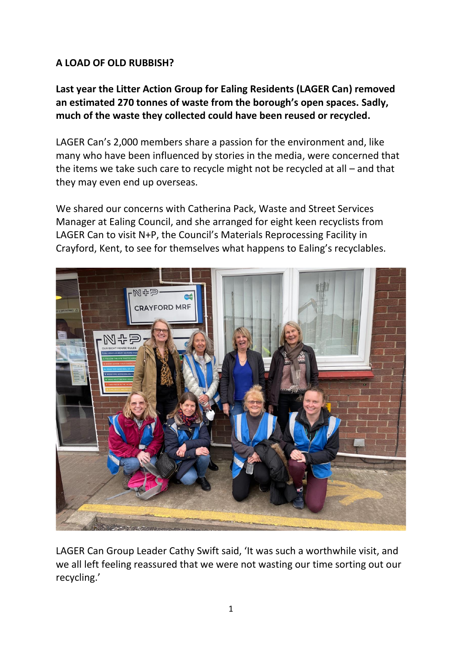# **A LOAD OF OLD RUBBISH?**

**Last year the Litter Action Group for Ealing Residents (LAGER Can) removed an estimated 270 tonnes of waste from the borough's open spaces. Sadly, much of the waste they collected could have been reused or recycled.**

LAGER Can's 2,000 members share a passion for the environment and, like many who have been influenced by stories in the media, were concerned that the items we take such care to recycle might not be recycled at all – and that they may even end up overseas.

We shared our concerns with Catherina Pack, Waste and Street Services Manager at Ealing Council, and she arranged for eight keen recyclists from LAGER Can to visit N+P, the Council's Materials Reprocessing Facility in Crayford, Kent, to see for themselves what happens to Ealing's recyclables.



LAGER Can Group Leader Cathy Swift said, 'It was such a worthwhile visit, and we all left feeling reassured that we were not wasting our time sorting out our recycling.'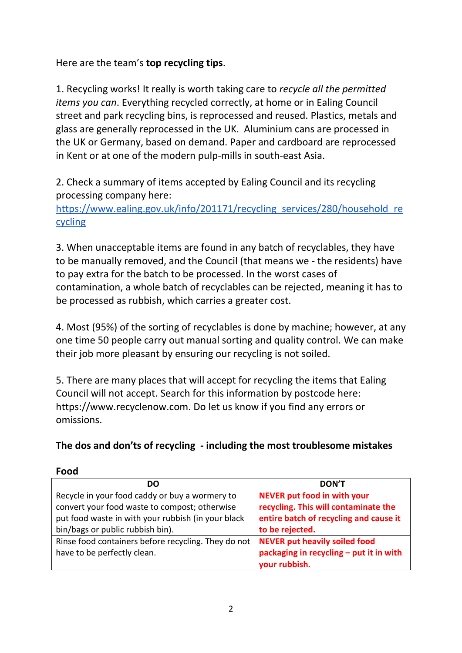Here are the team's **top recycling tips**.

1. Recycling works! It really is worth taking care to *recycle all the permitted items you can*. Everything recycled correctly, at home or in Ealing Council street and park recycling bins, is reprocessed and reused. Plastics, metals and glass are generally reprocessed in the UK. Aluminium cans are processed in the UK or Germany, based on demand. Paper and cardboard are reprocessed in Kent or at one of the modern pulp-mills in south-east Asia.

2. Check a summary of items accepted by Ealing Council and its recycling processing company here:

[https://www.ealing.gov.uk/info/201171/recycling\\_services/280/household\\_re](https://www.ealing.gov.uk/info/201171/recycling_services/280/household_recycling) [cycling](https://www.ealing.gov.uk/info/201171/recycling_services/280/household_recycling)

3. When unacceptable items are found in any batch of recyclables, they have to be manually removed, and the Council (that means we - the residents) have to pay extra for the batch to be processed. In the worst cases of contamination, a whole batch of recyclables can be rejected, meaning it has to be processed as rubbish, which carries a greater cost.

4. Most (95%) of the sorting of recyclables is done by machine; however, at any one time 50 people carry out manual sorting and quality control. We can make their job more pleasant by ensuring our recycling is not soiled.

5. There are many places that will accept for recycling the items that Ealing Council will not accept. Search for this information by postcode here: [https://www.recyclenow.com.](https://www.recyclenow.com/) Do let us know if you find any errors or omissions.

# **The dos and don'ts of recycling - including the most troublesome mistakes**

| <b>DO</b>                                           | <b>DON'T</b>                            |
|-----------------------------------------------------|-----------------------------------------|
| Recycle in your food caddy or buy a wormery to      | NEVER put food in with your             |
| convert your food waste to compost; otherwise       | recycling. This will contaminate the    |
| put food waste in with your rubbish (in your black  | entire batch of recycling and cause it  |
| bin/bags or public rubbish bin).                    | to be rejected.                         |
| Rinse food containers before recycling. They do not | <b>NEVER put heavily soiled food</b>    |
| have to be perfectly clean.                         | packaging in recycling - put it in with |
|                                                     | your rubbish.                           |

## **Food**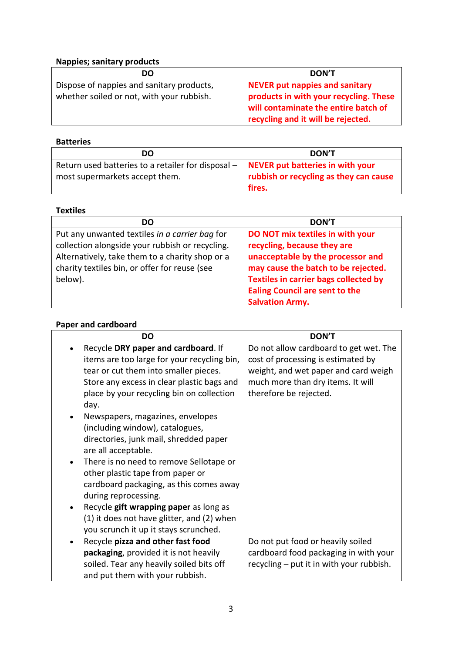## **Nappies; sanitary products**

| DO                                        | <b>DON'T</b>                           |
|-------------------------------------------|----------------------------------------|
| Dispose of nappies and sanitary products, | NEVER put nappies and sanitary         |
| whether soiled or not, with your rubbish. | products in with your recycling. These |
|                                           | will contaminate the entire batch of   |
|                                           | recycling and it will be rejected.     |

### **Batteries**

| DO                                                                                                                      | <b>DON'T</b>                           |
|-------------------------------------------------------------------------------------------------------------------------|----------------------------------------|
| Return used batteries to a retailer for disposal $-$ NEVER put batteries in with your<br>most supermarkets accept them. | rubbish or recycling as they can cause |
|                                                                                                                         | fires.                                 |

### **Textiles**

| DO                                              | <b>DON'T</b>                                 |
|-------------------------------------------------|----------------------------------------------|
| Put any unwanted textiles in a carrier bag for  | DO NOT mix textiles in with your             |
| collection alongside your rubbish or recycling. | recycling, because they are                  |
| Alternatively, take them to a charity shop or a | unacceptable by the processor and            |
| charity textiles bin, or offer for reuse (see   | may cause the batch to be rejected.          |
| below).                                         | <b>Textiles in carrier bags collected by</b> |
|                                                 | <b>Ealing Council are sent to the</b>        |
|                                                 | <b>Salvation Army.</b>                       |

## **Paper and cardboard**

| DO                                                   | <b>DON'T</b>                             |
|------------------------------------------------------|------------------------------------------|
| Recycle DRY paper and cardboard. If                  | Do not allow cardboard to get wet. The   |
| items are too large for your recycling bin,          | cost of processing is estimated by       |
| tear or cut them into smaller pieces.                | weight, and wet paper and card weigh     |
| Store any excess in clear plastic bags and           | much more than dry items. It will        |
| place by your recycling bin on collection            | therefore be rejected.                   |
| day.                                                 |                                          |
| Newspapers, magazines, envelopes                     |                                          |
| (including window), catalogues,                      |                                          |
| directories, junk mail, shredded paper               |                                          |
| are all acceptable.                                  |                                          |
| There is no need to remove Sellotape or<br>$\bullet$ |                                          |
| other plastic tape from paper or                     |                                          |
| cardboard packaging, as this comes away              |                                          |
| during reprocessing.                                 |                                          |
| Recycle gift wrapping paper as long as               |                                          |
| (1) it does not have glitter, and (2) when           |                                          |
| you scrunch it up it stays scrunched.                |                                          |
| Recycle pizza and other fast food                    | Do not put food or heavily soiled        |
| packaging, provided it is not heavily                | cardboard food packaging in with your    |
| soiled. Tear any heavily soiled bits off             | recycling – put it in with your rubbish. |
| and put them with your rubbish.                      |                                          |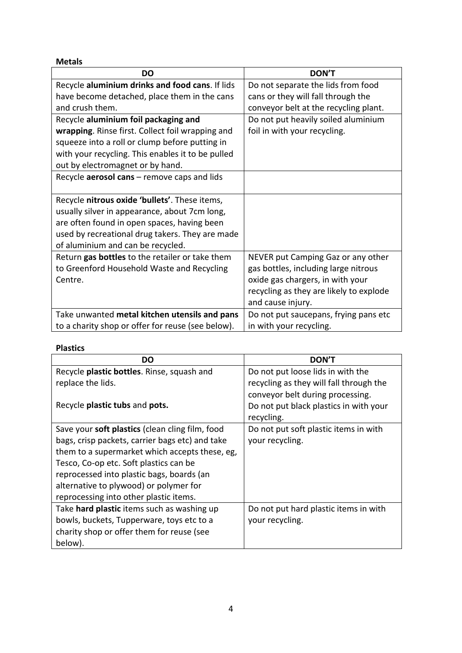#### **Metals**

| DO                                                | <b>DON'T</b>                            |
|---------------------------------------------------|-----------------------------------------|
| Recycle aluminium drinks and food cans. If lids   | Do not separate the lids from food      |
| have become detached, place them in the cans      | cans or they will fall through the      |
| and crush them.                                   | conveyor belt at the recycling plant.   |
| Recycle aluminium foil packaging and              | Do not put heavily soiled aluminium     |
| wrapping. Rinse first. Collect foil wrapping and  | foil in with your recycling.            |
| squeeze into a roll or clump before putting in    |                                         |
| with your recycling. This enables it to be pulled |                                         |
| out by electromagnet or by hand.                  |                                         |
| Recycle aerosol cans - remove caps and lids       |                                         |
|                                                   |                                         |
| Recycle nitrous oxide 'bullets'. These items,     |                                         |
| usually silver in appearance, about 7cm long,     |                                         |
| are often found in open spaces, having been       |                                         |
| used by recreational drug takers. They are made   |                                         |
| of aluminium and can be recycled.                 |                                         |
| Return gas bottles to the retailer or take them   | NEVER put Camping Gaz or any other      |
| to Greenford Household Waste and Recycling        | gas bottles, including large nitrous    |
| Centre.                                           | oxide gas chargers, in with your        |
|                                                   | recycling as they are likely to explode |
|                                                   | and cause injury.                       |
| Take unwanted metal kitchen utensils and pans     | Do not put saucepans, frying pans etc   |
| to a charity shop or offer for reuse (see below). | in with your recycling.                 |

## **Plastics**

| DO                                              | <b>DON'T</b>                            |
|-------------------------------------------------|-----------------------------------------|
| Recycle plastic bottles. Rinse, squash and      | Do not put loose lids in with the       |
| replace the lids.                               | recycling as they will fall through the |
|                                                 | conveyor belt during processing.        |
| Recycle plastic tubs and pots.                  | Do not put black plastics in with your  |
|                                                 | recycling.                              |
| Save your soft plastics (clean cling film, food | Do not put soft plastic items in with   |
| bags, crisp packets, carrier bags etc) and take | your recycling.                         |
| them to a supermarket which accepts these, eg,  |                                         |
| Tesco, Co-op etc. Soft plastics can be          |                                         |
| reprocessed into plastic bags, boards (an       |                                         |
| alternative to plywood) or polymer for          |                                         |
| reprocessing into other plastic items.          |                                         |
| Take hard plastic items such as washing up      | Do not put hard plastic items in with   |
| bowls, buckets, Tupperware, toys etc to a       | your recycling.                         |
| charity shop or offer them for reuse (see       |                                         |
| below).                                         |                                         |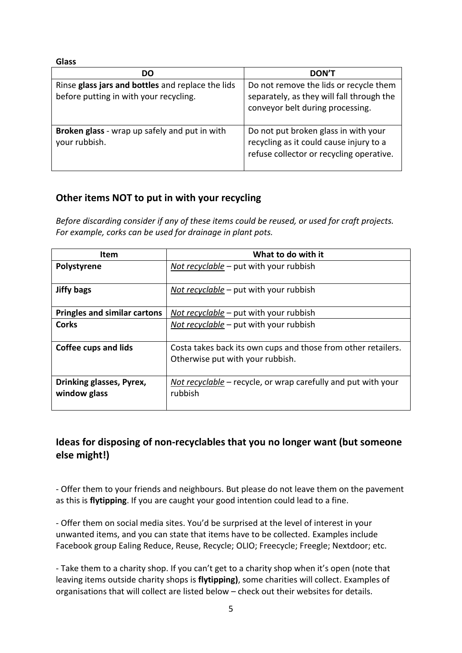**Glass**

| DO                                                                                          | <b>DON'T</b>                                                                                                                |
|---------------------------------------------------------------------------------------------|-----------------------------------------------------------------------------------------------------------------------------|
| Rinse glass jars and bottles and replace the lids<br>before putting in with your recycling. | Do not remove the lids or recycle them<br>separately, as they will fall through the<br>conveyor belt during processing.     |
| Broken glass - wrap up safely and put in with<br>your rubbish.                              | Do not put broken glass in with your<br>recycling as it could cause injury to a<br>refuse collector or recycling operative. |

# **Other items NOT to put in with your recycling**

*Before discarding consider if any of these items could be reused, or used for craft projects. For example, corks can be used for drainage in plant pots.*

| <b>Item</b>                              | What to do with it                                                                                |
|------------------------------------------|---------------------------------------------------------------------------------------------------|
| Polystyrene                              | Not recyclable $-$ put with your rubbish                                                          |
| <b>Jiffy bags</b>                        | Not recyclable – put with your rubbish                                                            |
| <b>Pringles and similar cartons</b>      | Not recyclable – put with your rubbish                                                            |
| Corks                                    | Not recyclable $-$ put with your rubbish                                                          |
| <b>Coffee cups and lids</b>              | Costa takes back its own cups and those from other retailers.<br>Otherwise put with your rubbish. |
| Drinking glasses, Pyrex,<br>window glass | Not recyclable – recycle, or wrap carefully and put with your<br>rubbish                          |

# **Ideas for disposing of non-recyclables that you no longer want (but someone else might!)**

- Offer them to your friends and neighbours. But please do not leave them on the pavement as this is **flytipping**. If you are caught your good intention could lead to a fine.

- Offer them on social media sites. You'd be surprised at the level of interest in your unwanted items, and you can state that items have to be collected. Examples include Facebook group Ealing Reduce, Reuse, Recycle; OLIO; Freecycle; Freegle; Nextdoor; etc.

- Take them to a charity shop. If you can't get to a charity shop when it's open (note that leaving items outside charity shops is **flytipping)**, some charities will collect. Examples of organisations that will collect are listed below – check out their websites for details.